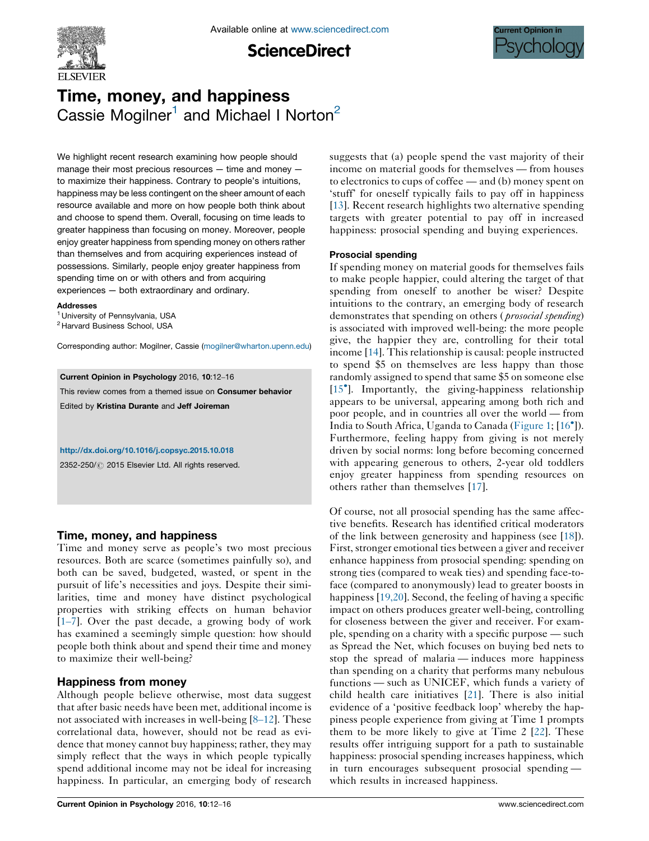

**ScienceDirect** 



# Time, money, and happiness Cassie Mogilner<sup>1</sup> and Michael I Norton<sup>2</sup>

We highlight recent research examining how people should manage their most precious resources — time and money to maximize their happiness. Contrary to people's intuitions, happiness may be less contingent on the sheer amount of each resource available and more on how people both think about and choose to spend them. Overall, focusing on time leads to greater happiness than focusing on money. Moreover, people enjoy greater happiness from spending money on others rather than themselves and from acquiring experiences instead of possessions. Similarly, people enjoy greater happiness from spending time on or with others and from acquiring experiences — both extraordinary and ordinary.

#### Addresses

<sup>1</sup> University of Pennsylvania, USA

<sup>2</sup> Harvard Business School, USA

Corresponding author: Mogilner, Cassie [\(mogilner@wharton.upenn.edu](mailto:mogilner@wharton.upenn.edu))

Current Opinion in Psychology 2016, 10:12–16

This review comes from a themed issue on Consumer behavior Edited by Kristina Durante and Jeff Joireman

#### <http://dx.doi.org/10.1016/j.copsyc.2015.10.018>

2352-250/ 2015 Elsevier Ltd. All rights reserved.

# Time, money, and happiness

Time and money serve as people's two most precious resources. Both are scarce (sometimes painfully so), and both can be saved, budgeted, wasted, or spent in the pursuit of life's necessities and joys. Despite their similarities, time and money have distinct psychological properties with striking effects on human behavior [\[1](#page-3-0)–7]. Over the past decade, a growing body of work has examined a seemingly simple question: how should people both think about and spend their time and money to maximize their well-being?

# Happiness from money

Although people believe otherwise, most data suggest that after basic needs have been met, additional income is not associated with increases in well-being [8–[12\]](#page-3-0). These correlational data, however, should not be read as evidence that money cannot buy happiness; rather, they may simply reflect that the ways in which people typically spend additional income may not be ideal for increasing happiness. In particular, an emerging body of research

suggests that (a) people spend the vast majority of their income on material goods for themselves — from houses to electronics to cups of coffee — and (b) money spent on 'stuff' for oneself typically fails to pay off in happiness [\[13](#page-3-0)]. Recent research highlights two alternative spending targets with greater potential to pay off in increased happiness: prosocial spending and buying experiences.

## Prosocial spending

If spending money on material goods for themselves fails to make people happier, could altering the target of that spending from oneself to another be wiser? Despite intuitions to the contrary, an emerging body of research demonstrates that spending on others (*prosocial spending*) is associated with improved well-being: the more people give, the happier they are, controlling for their total income [[14\]](#page-3-0). This relationship is causal: people instructed to spend \$5 on themselves are less happy than those randomly assigned to spend that same \$5 on someone else [\[15](#page-3-0)<sup>°</sup>]. Importantly, the giving-happiness relationship appears to be universal, appearing among both rich and poor people, and in countries all over the world — from India to South Africa, Uganda to Canada [\(Figure](#page-1-0) 1; [\[16](#page-3-0)°]). Furthermore, feeling happy from giving is not merely driven by social norms: long before becoming concerned with appearing generous to others, 2-year old toddlers enjoy greater happiness from spending resources on others rather than themselves [\[17](#page-3-0)].

Of course, not all prosocial spending has the same affective benefits. Research has identified critical moderators of the link between generosity and happiness (see [\[18](#page-3-0)]). First, stronger emotional ties between a giver and receiver enhance happiness from prosocial spending: spending on strong ties (compared to weak ties) and spending face-toface (compared to anonymously) lead to greater boosts in happiness [[19,20](#page-3-0)]. Second, the feeling of having a specific impact on others produces greater well-being, controlling for closeness between the giver and receiver. For example, spending on a charity with a specific purpose — such as Spread the Net, which focuses on buying bed nets to stop the spread of malaria — induces more happiness than spending on a charity that performs many nebulous functions — such as UNICEF, which funds a variety of child health care initiatives [\[21](#page-3-0)]. There is also initial evidence of a 'positive feedback loop' whereby the happiness people experience from giving at Time 1 prompts them to be more likely to give at Time 2 [\[22](#page-3-0)]. These results offer intriguing support for a path to sustainable happiness: prosocial spending increases happiness, which in turn encourages subsequent prosocial spending which results in increased happiness.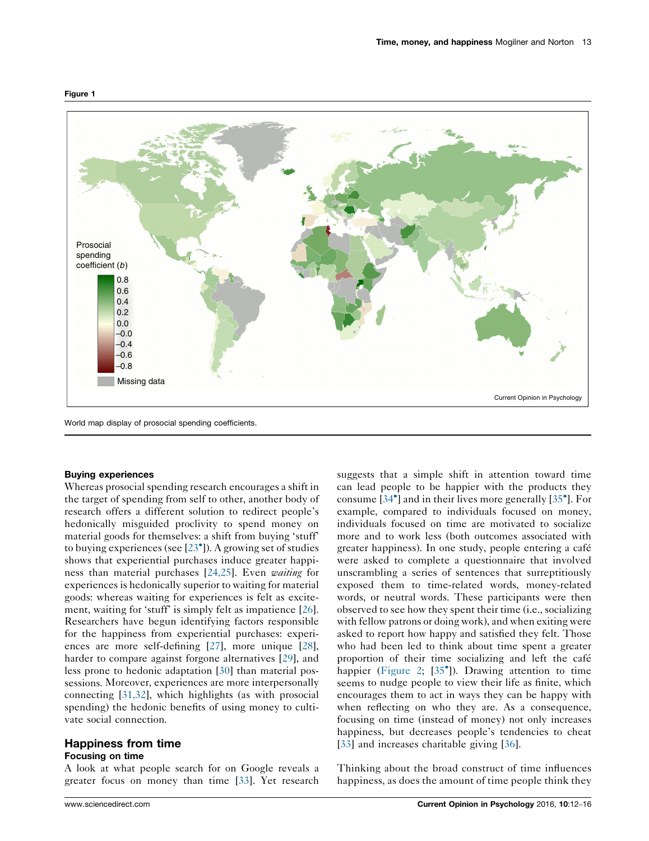

#### <span id="page-1-0"></span>Figure 1

World map display of prosocial spending coefficients.

#### Buying experiences

Whereas prosocial spending research encourages a shift in the target of spending from self to other, another body of research offers a different solution to redirect people's hedonically misguided proclivity to spend money on material goods for themselves: a shift from buying 'stuff' to buying experiences (see  $[23^{\circ}]$  $[23^{\circ}]$  $[23^{\circ}]$ ). A growing set of studies shows that experiential purchases induce greater happi-ness than material purchases [[24,25](#page-4-0)]. Even waiting for experiences is hedonically superior to waiting for material goods: whereas waiting for experiences is felt as excitement, waiting for 'stuff' is simply felt as impatience [\[26](#page-4-0)]. Researchers have begun identifying factors responsible for the happiness from experiential purchases: experiences are more self-defining [\[27\]](#page-4-0), more unique [\[28](#page-4-0)], harder to compare against forgone alternatives [[29](#page-4-0)], and less prone to hedonic adaptation [\[30](#page-4-0)] than material possessions. Moreover, experiences are more interpersonally connecting [\[31,32\]](#page-4-0), which highlights (as with prosocial spending) the hedonic benefits of using money to cultivate social connection.

## Happiness from time Focusing on time

A look at what people search for on Google reveals a greater focus on money than time [\[33](#page-4-0)]. Yet research suggests that a simple shift in attention toward time can lead people to be happier with the products they consume [\[34](#page-4-0)<sup>°</sup>] and in their lives more generally [[35](#page-4-0)<sup>°</sup>]. For example, compared to individuals focused on money, individuals focused on time are motivated to socialize more and to work less (both outcomes associated with greater happiness). In one study, people entering a café were asked to complete a questionnaire that involved unscrambling a series of sentences that surreptitiously exposed them to time-related words, money-related words, or neutral words. These participants were then observed to see how they spent their time (i.e., socializing with fellow patrons or doing work), and when exiting were asked to report how happy and satisfied they felt. Those who had been led to think about time spent a greater proportion of their time socializing and left the café happier [\(Figure](#page-2-0) 2; [[35](#page-4-0)<sup>°</sup>]). Drawing attention to time seems to nudge people to view their life as finite, which encourages them to act in ways they can be happy with when reflecting on who they are. As a consequence, focusing on time (instead of money) not only increases happiness, but decreases people's tendencies to cheat [[33](#page-4-0)] and increases charitable giving [\[36](#page-4-0)].

Thinking about the broad construct of time influences happiness, as does the amount of time people think they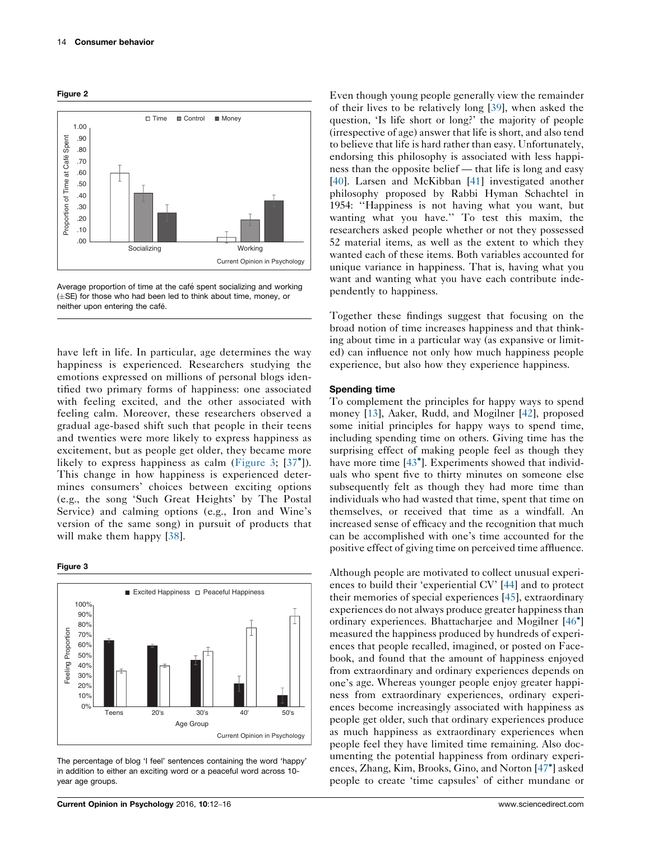<span id="page-2-0"></span>



Average proportion of time at the café spent socializing and working  $(\pm$ SE) for those who had been led to think about time, money, or neither upon entering the café.

have left in life. In particular, age determines the way happiness is experienced. Researchers studying the emotions expressed on millions of personal blogs identified two primary forms of happiness: one associated with feeling excited, and the other associated with feeling calm. Moreover, these researchers observed a gradual age-based shift such that people in their teens and twenties were more likely to express happiness as excitement, but as people get older, they became more likely to express happiness as calm (Figure 3; [[37](#page-4-0)°]). This change in how happiness is experienced determines consumers' choices between exciting options (e.g., the song 'Such Great Heights' by The Postal Service) and calming options (e.g., Iron and Wine's version of the same song) in pursuit of products that will make them happy [\[38](#page-4-0)].





The percentage of blog 'I feel' sentences containing the word 'happy' in addition to either an exciting word or a peaceful word across 10 year age groups.

Even though young people generally view the remainder of their lives to be relatively long [[39\]](#page-4-0), when asked the question, 'Is life short or long?' the majority of people (irrespective of age) answer that life is short, and also tend to believe that life is hard rather than easy. Unfortunately, endorsing this philosophy is associated with less happiness than the opposite belief — that life is long and easy [\[40](#page-4-0)]. Larsen and McKibban [[41\]](#page-4-0) investigated another philosophy proposed by Rabbi Hyman Schachtel in 1954: ''Happiness is not having what you want, but wanting what you have.'' To test this maxim, the researchers asked people whether or not they possessed 52 material items, as well as the extent to which they wanted each of these items. Both variables accounted for unique variance in happiness. That is, having what you want and wanting what you have each contribute independently to happiness.

Together these findings suggest that focusing on the broad notion of time increases happiness and that thinking about time in a particular way (as expansive or limited) can influence not only how much happiness people experience, but also how they experience happiness.

#### Spending time

To complement the principles for happy ways to spend money [[13\]](#page-3-0), Aaker, Rudd, and Mogilner [\[42](#page-4-0)], proposed some initial principles for happy ways to spend time, including spending time on others. Giving time has the surprising effect of making people feel as though they have more time [[43](#page-4-0)<sup>°</sup>]. Experiments showed that individuals who spent five to thirty minutes on someone else subsequently felt as though they had more time than individuals who had wasted that time, spent that time on themselves, or received that time as a windfall. An increased sense of efficacy and the recognition that much can be accomplished with one's time accounted for the positive effect of giving time on perceived time affluence.

Although people are motivated to collect unusual experiences to build their 'experiential CV' [[44\]](#page-4-0) and to protect their memories of special experiences [[45\]](#page-4-0), extraordinary experiences do not always produce greater happiness than ordinary experiences. Bhattacharjee and Mogilner [\[46](#page-4-0)<sup>°</sup>] measured the happiness produced by hundreds of experiences that people recalled, imagined, or posted on Facebook, and found that the amount of happiness enjoyed from extraordinary and ordinary experiences depends on one's age. Whereas younger people enjoy greater happiness from extraordinary experiences, ordinary experiences become increasingly associated with happiness as people get older, such that ordinary experiences produce as much happiness as extraordinary experiences when people feel they have limited time remaining. Also documenting the potential happiness from ordinary experi-ences, Zhang, Kim, Brooks, Gino, and Norton [[47](#page-4-0)<sup>°</sup>] asked people to create 'time capsules' of either mundane or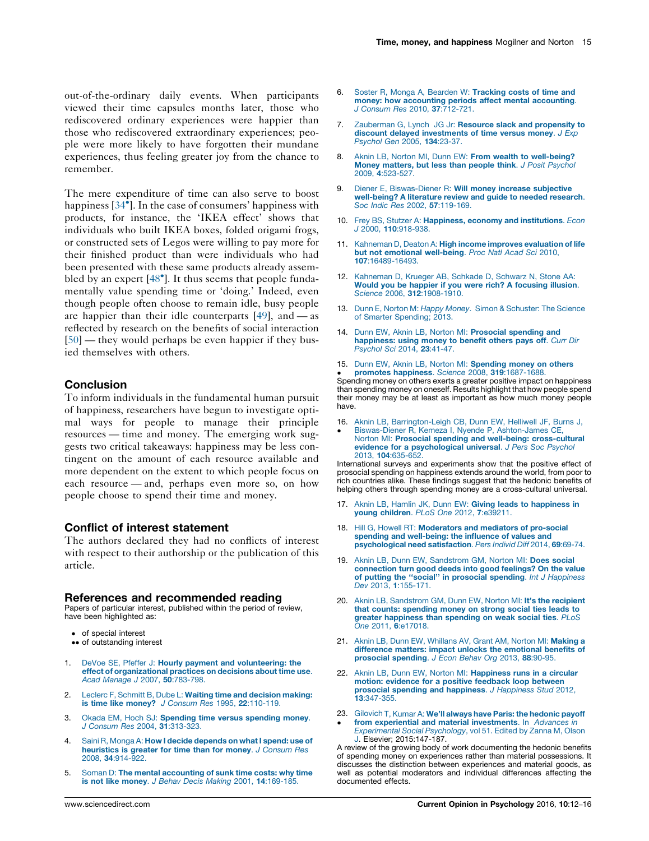<span id="page-3-0"></span>out-of-the-ordinary daily events. When participants viewed their time capsules months later, those who rediscovered ordinary experiences were happier than those who rediscovered extraordinary experiences; people were more likely to have forgotten their mundane experiences, thus feeling greater joy from the chance to remember.

The mere expenditure of time can also serve to boost happiness [[34](#page-4-0)<sup>°</sup>]. In the case of consumers' happiness with products, for instance, the 'IKEA effect' shows that individuals who built IKEA boxes, folded origami frogs, or constructed sets of Legos were willing to pay more for their finished product than were individuals who had been presented with these same products already assem-bled by an expert [\[48](#page-4-0)<sup>°</sup>]. It thus seems that people fundamentally value spending time or 'doing.' Indeed, even though people often choose to remain idle, busy people are happier than their idle counterparts  $[49]$  $[49]$ , and — as reflected by research on the benefits of social interaction [\[50](#page-4-0)] — they would perhaps be even happier if they busied themselves with others.

## **Conclusion**

To inform individuals in the fundamental human pursuit of happiness, researchers have begun to investigate optimal ways for people to manage their principle resources — time and money. The emerging work suggests two critical takeaways: happiness may be less contingent on the amount of each resource available and more dependent on the extent to which people focus on each resource — and, perhaps even more so, on how people choose to spend their time and money.

## Conflict of interest statement

The authors declared they had no conflicts of interest with respect to their authorship or the publication of this article.

#### References and recommended reading

Papers of particular interest, published within the period of review, have been highlighted as:

- of special interest
- •• of outstanding interest
- 1. DeVoe SE, Pfeffer J: Hourly payment and [volunteering:](http://refhub.elsevier.com/S2352-250X(15)30005-1/sbref0255) the effect of [organizational](http://refhub.elsevier.com/S2352-250X(15)30005-1/sbref0255) practices on decisions about time use. Acad Manage J 2007, 50[:783-798.](http://refhub.elsevier.com/S2352-250X(15)30005-1/sbref0255)
- 2. Leclerc F, Schmitt B, Dube L: Waiting time and [decision](http://refhub.elsevier.com/S2352-250X(15)30005-1/sbref0260) making: is time like money? J Consum Res 1995, 22[:110-119.](http://refhub.elsevier.com/S2352-250X(15)30005-1/sbref0260)
- 3. Okada EM, Hoch SJ: [Spending](http://refhub.elsevier.com/S2352-250X(15)30005-1/sbref0265) time versus spending money. J Consum Res 2004, 31[:313-323.](http://refhub.elsevier.com/S2352-250X(15)30005-1/sbref0265)
- 4. Saini R, Monga A: How I decide [depends](http://refhub.elsevier.com/S2352-250X(15)30005-1/sbref0270) on what I spend: use of [heuristics](http://refhub.elsevier.com/S2352-250X(15)30005-1/sbref0270) is greater for time than for money. J Consum Res 2008, 34[:914-922.](http://refhub.elsevier.com/S2352-250X(15)30005-1/sbref0270)
- Soman D: The mental [accounting](http://refhub.elsevier.com/S2352-250X(15)30005-1/sbref0275) of sunk time costs: why time is not like money. J Behav Decis Making 2001, 14[:169-185.](http://refhub.elsevier.com/S2352-250X(15)30005-1/sbref0275)
- 6. Soster R, Monga A, Bearden W: [Tracking](http://refhub.elsevier.com/S2352-250X(15)30005-1/sbref0280) costs of time and money: how [accounting](http://refhub.elsevier.com/S2352-250X(15)30005-1/sbref0280) periods affect mental accounting. J Consum Res 2010, 37[:712-721.](http://refhub.elsevier.com/S2352-250X(15)30005-1/sbref0280)
- 7. [Zauberman](http://refhub.elsevier.com/S2352-250X(15)30005-1/sbref0285) G, Lynch JG Jr: Resource slack and propensity to discount delayed [investments](http://refhub.elsevier.com/S2352-250X(15)30005-1/sbref0285) of time versus money. J Exp [Psychol](http://refhub.elsevier.com/S2352-250X(15)30005-1/sbref0285) Gen 2005, 134:23-37.
- 8. Aknin LB, Norton MI, Dunn EW: From wealth to [well-being?](http://refhub.elsevier.com/S2352-250X(15)30005-1/sbref0290) Money [matters,](http://refhub.elsevier.com/S2352-250X(15)30005-1/sbref0290) but less than people think. J Posit Psychol 2009, 4[:523-527.](http://refhub.elsevier.com/S2352-250X(15)30005-1/sbref0290)
- 9. Diener E, [Biswas-Diener](http://refhub.elsevier.com/S2352-250X(15)30005-1/sbref0295) R: Will money increase subjective [well-being?](http://refhub.elsevier.com/S2352-250X(15)30005-1/sbref0295) A literature review and guide to needed research. Soc Indic Res 2002, 57[:119-169.](http://refhub.elsevier.com/S2352-250X(15)30005-1/sbref0295)
- 10. Frey BS, Stutzer A: Happiness, economy and [institutions](http://refhub.elsevier.com/S2352-250X(15)30005-1/sbref0300). Econ J 2000, 110[:918-938.](http://refhub.elsevier.com/S2352-250X(15)30005-1/sbref0300)
- 11. Kahneman D, Deaton A: High income improves [evaluation](http://refhub.elsevier.com/S2352-250X(15)30005-1/sbref0305) of life but not emotional [well-being](http://refhub.elsevier.com/S2352-250X(15)30005-1/sbref0305). Proc Natl Acad Sci 2010, 107[:16489-16493.](http://refhub.elsevier.com/S2352-250X(15)30005-1/sbref0305)
- 12. [Kahneman](http://refhub.elsevier.com/S2352-250X(15)30005-1/sbref0310) D, Krueger AB, Schkade D, Schwarz N, Stone AA: Would you be happier if you were rich? A [focusing](http://refhub.elsevier.com/S2352-250X(15)30005-1/sbref0310) illusion. Science 2006, 312[:1908-1910.](http://refhub.elsevier.com/S2352-250X(15)30005-1/sbref0310)
- 13. Dunn E, Norton M: Happy Money. Simon & [Schuster:](http://refhub.elsevier.com/S2352-250X(15)30005-1/sbref0315) The Science of Smarter [Spending;](http://refhub.elsevier.com/S2352-250X(15)30005-1/sbref0315) 2013.
- 14. Dunn EW, Aknin LB, Norton MI: [Prosocial](http://refhub.elsevier.com/S2352-250X(15)30005-1/sbref0320) spending and [happiness:](http://refhub.elsevier.com/S2352-250X(15)30005-1/sbref0320) using money to benefit others pays off. Curr Dir [Psychol](http://refhub.elsevier.com/S2352-250X(15)30005-1/sbref0320) Sci 2014, 23:41-47.
- 15. Dunn EW, Aknin LB, Norton MI: [Spending](http://refhub.elsevier.com/S2352-250X(15)30005-1/sbref0325) money on others **• promotes happiness**. Science 2008, 319:1687-1688.<br>Spending money on others exerts a greater positive impact on happiness promotes happiness. Science 2008, 319[:1687-1688.](http://refhub.elsevier.com/S2352-250X(15)30005-1/sbref0325)

than spending money on oneself. Results highlight that how people spend their money may be at least as important as how much money people have.

- 16. Aknin LB, [Barrington-Leigh](http://refhub.elsevier.com/S2352-250X(15)30005-1/sbref0330) CB, Dunn EW, Helliwell JF, Burns J,
- -Biswas-Diener R, Kemeza I, Nyende P, [Ashton-James](http://refhub.elsevier.com/S2352-250X(15)30005-1/sbref0330) CE, Norton MI: Prosocial spending and well-being: [cross-cultural](http://refhub.elsevier.com/S2352-250X(15)30005-1/sbref0330) evidence for a [psychological](http://refhub.elsevier.com/S2352-250X(15)30005-1/sbref0330) universal. J Pers Soc Psychol 2013, 104[:635-652.](http://refhub.elsevier.com/S2352-250X(15)30005-1/sbref0330)

International surveys and experiments show that the positive effect of prosocial spending on happiness extends around the world, from poor to rich countries alike. These findings suggest that the hedonic benefits of helping others through spending money are a cross-cultural universal.

- 17. Aknin LB, Hamlin JK, Dunn EW: Giving leads to [happiness](http://refhub.elsevier.com/S2352-250X(15)30005-1/sbref0335) in young children. PLoS One 2012, 7[:e39211.](http://refhub.elsevier.com/S2352-250X(15)30005-1/sbref0335)
- 18. Hill G. Howell RT: [Moderators](http://refhub.elsevier.com/S2352-250X(15)30005-1/sbref0340) and mediators of pro-social spending and [well-being:](http://refhub.elsevier.com/S2352-250X(15)30005-1/sbref0340) the influence of values and [psychological](http://refhub.elsevier.com/S2352-250X(15)30005-1/sbref0340) need satisfaction. Pers Individ Diff 2014, 69:69-74.
- 19. Aknin LB, Dunn EW, [Sandstrom](http://refhub.elsevier.com/S2352-250X(15)30005-1/sbref0345) GM, Norton MI: Does social [connection](http://refhub.elsevier.com/S2352-250X(15)30005-1/sbref0345) turn good deeds into good feelings? On the value of putting the "social" in prosocial spending. Int J [Happiness](http://refhub.elsevier.com/S2352-250X(15)30005-1/sbref0345) Dev 2013, 1[:155-171.](http://refhub.elsevier.com/S2352-250X(15)30005-1/sbref0345)
- 20. Aknin LB, [Sandstrom](http://refhub.elsevier.com/S2352-250X(15)30005-1/sbref0350) GM, Dunn EW, Norton MI: It's the recipient that counts: [spending](http://refhub.elsevier.com/S2352-250X(15)30005-1/sbref0350) money on strong social ties leads to greater [happiness](http://refhub.elsevier.com/S2352-250X(15)30005-1/sbref0350) than spending on weak social ties. PLoS One 2011, 6[:e17018.](http://refhub.elsevier.com/S2352-250X(15)30005-1/sbref0350)
- 21. Aknin LB, Dunn EW, [Whillans](http://refhub.elsevier.com/S2352-250X(15)30005-1/sbref0355) AV, Grant AM, Norton MI: Making a [difference](http://refhub.elsevier.com/S2352-250X(15)30005-1/sbref0355) matters: impact unlocks the emotional benefits of prosocial [spending](http://refhub.elsevier.com/S2352-250X(15)30005-1/sbref0355). J Econ Behav Org 2013, 88:90-95.
- 22. Aknin LB, Dunn EW, Norton MI: [Happiness](http://refhub.elsevier.com/S2352-250X(15)30005-1/sbref0360) runs in a circular motion: evidence for a positive [feedback](http://refhub.elsevier.com/S2352-250X(15)30005-1/sbref0360) loop between prosocial spending and [happiness](http://refhub.elsevier.com/S2352-250X(15)30005-1/sbref0360). J Happiness Stud 2012, 13[:347-355.](http://refhub.elsevier.com/S2352-250X(15)30005-1/sbref0360)
- 23. Gilovich T, Kumar A: We'll always have Paris: the [hedonic](http://refhub.elsevier.com/S2352-250X(15)30005-1/sbref0365) payoff from experiential and material [investments](http://refhub.elsevier.com/S2352-250X(15)30005-1/sbref0365). In Advances in [Experimental](http://refhub.elsevier.com/S2352-250X(15)30005-1/sbref0365) Social Psychology, vol 51. Edited by Zanna M, Olson

[J.](http://refhub.elsevier.com/S2352-250X(15)30005-1/sbref0365) Elsevier; 2015:147-187. A review of the growing body of work documenting the hedonic benefits of spending money on experiences rather than material possessions. It discusses the distinction between experiences and material goods, as well as potential moderators and individual differences affecting the documented effects.